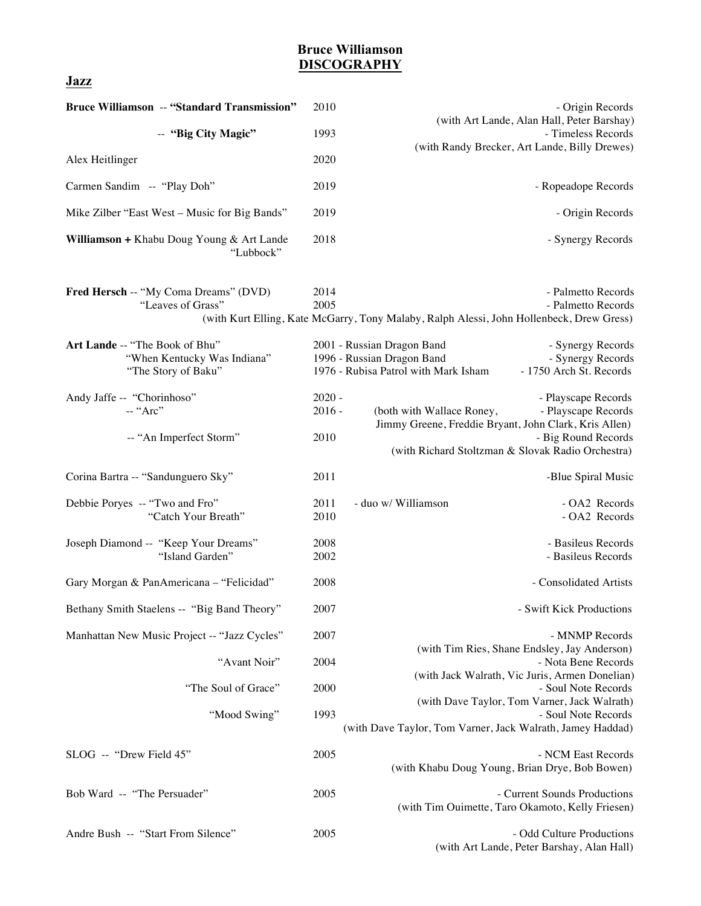## **Bruce Williamson DISCOGRAPHY**

**Jazz**

| <b>Bruce Williamson -- "Standard Transmission"</b>                                   | 2010                         | - Origin Records                                                                                                                                                                                             |
|--------------------------------------------------------------------------------------|------------------------------|--------------------------------------------------------------------------------------------------------------------------------------------------------------------------------------------------------------|
| -- "Big City Magic"                                                                  | 1993                         | (with Art Lande, Alan Hall, Peter Barshay)<br>- Timeless Records                                                                                                                                             |
| Alex Heitlinger                                                                      | 2020                         | (with Randy Brecker, Art Lande, Billy Drewes)                                                                                                                                                                |
| Carmen Sandim -- "Play Doh"                                                          | 2019                         | - Ropeadope Records                                                                                                                                                                                          |
| Mike Zilber "East West – Music for Big Bands"                                        | 2019                         | - Origin Records                                                                                                                                                                                             |
| Williamson + Khabu Doug Young & Art Lande<br>"Lubbock"                               | 2018                         | - Synergy Records                                                                                                                                                                                            |
| Fred Hersch -- "My Coma Dreams" (DVD)<br>"Leaves of Grass"                           | 2014<br>2005                 | - Palmetto Records<br>- Palmetto Records<br>(with Kurt Elling, Kate McGarry, Tony Malaby, Ralph Alessi, John Hollenbeck, Drew Gress)                                                                         |
| Art Lande -- "The Book of Bhu"<br>"When Kentucky Was Indiana"<br>"The Story of Baku" |                              | 2001 - Russian Dragon Band<br>- Synergy Records<br>1996 - Russian Dragon Band<br>- Synergy Records<br>1976 - Rubisa Patrol with Mark Isham<br>- 1750 Arch St. Records                                        |
| Andy Jaffe -- "Chorinhoso"<br>-- "Arc"<br>-- "An Imperfect Storm"                    | $2020 -$<br>$2016 -$<br>2010 | - Playscape Records<br>- Playscape Records<br>(both with Wallace Roney,<br>Jimmy Greene, Freddie Bryant, John Clark, Kris Allen)<br>- Big Round Records<br>(with Richard Stoltzman & Slovak Radio Orchestra) |
| Corina Bartra -- "Sandunguero Sky"                                                   | 2011                         | -Blue Spiral Music                                                                                                                                                                                           |
| Debbie Poryes -- "Two and Fro"<br>"Catch Your Breath"                                | 2011<br>2010                 | - duo w/ Williamson<br>- OA2 Records<br>- OA2 Records                                                                                                                                                        |
| Joseph Diamond -- "Keep Your Dreams"<br>"Island Garden"                              | 2008<br>2002                 | - Basileus Records<br>- Basileus Records                                                                                                                                                                     |
| Gary Morgan & PanAmericana - "Felicidad"                                             | 2008                         | - Consolidated Artists                                                                                                                                                                                       |
| Bethany Smith Staelens -- "Big Band Theory"                                          | 2007                         | - Swift Kick Productions                                                                                                                                                                                     |
| Manhattan New Music Project -- "Jazz Cycles"<br>"Avant Noir"                         | 2007<br>2004                 | - MNMP Records<br>(with Tim Ries, Shane Endsley, Jay Anderson)<br>- Nota Bene Records<br>(with Jack Walrath, Vic Juris, Armen Donelian)                                                                      |
| "The Soul of Grace"                                                                  | 2000                         | - Soul Note Records<br>(with Dave Taylor, Tom Varner, Jack Walrath)                                                                                                                                          |
| "Mood Swing"                                                                         | 1993                         | - Soul Note Records<br>(with Dave Taylor, Tom Varner, Jack Walrath, Jamey Haddad)                                                                                                                            |
| SLOG -- "Drew Field 45"                                                              | 2005                         | - NCM East Records<br>(with Khabu Doug Young, Brian Drye, Bob Bowen)                                                                                                                                         |
| Bob Ward -- "The Persuader"                                                          | 2005                         | - Current Sounds Productions<br>(with Tim Ouimette, Taro Okamoto, Kelly Friesen)                                                                                                                             |
| Andre Bush -- "Start From Silence"                                                   | 2005                         | - Odd Culture Productions<br>(with Art Lande, Peter Barshay, Alan Hall)                                                                                                                                      |